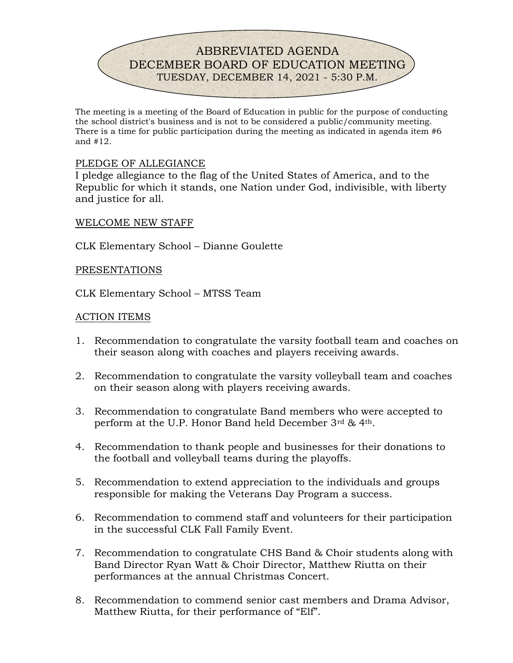

The meeting is a meeting of the Board of Education in public for the purpose of conducting the school district's business and is not to be considered a public/community meeting. There is a time for public participation during the meeting as indicated in agenda item #6 and #12.

### PLEDGE OF ALLEGIANCE

I pledge allegiance to the flag of the United States of America, and to the Republic for which it stands, one Nation under God, indivisible, with liberty and justice for all.

#### WELCOME NEW STAFF

CLK Elementary School – Dianne Goulette

#### PRESENTATIONS

CLK Elementary School – MTSS Team

#### ACTION ITEMS

- 1. Recommendation to congratulate the varsity football team and coaches on their season along with coaches and players receiving awards.
- 2. Recommendation to congratulate the varsity volleyball team and coaches on their season along with players receiving awards.
- 3. Recommendation to congratulate Band members who were accepted to perform at the U.P. Honor Band held December 3rd & 4th.
- 4. Recommendation to thank people and businesses for their donations to the football and volleyball teams during the playoffs.
- 5. Recommendation to extend appreciation to the individuals and groups responsible for making the Veterans Day Program a success.
- 6. Recommendation to commend staff and volunteers for their participation in the successful CLK Fall Family Event.
- 7. Recommendation to congratulate CHS Band & Choir students along with Band Director Ryan Watt & Choir Director, Matthew Riutta on their performances at the annual Christmas Concert.
- 8. Recommendation to commend senior cast members and Drama Advisor, Matthew Riutta, for their performance of "Elf".